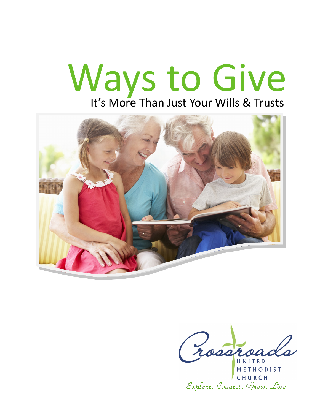# Ways to Give It's More Than Just Your Wills & Trusts



Prostrads

CHURCH Explore, Connect, Grow, Live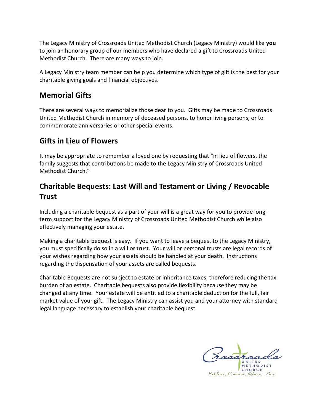The Legacy Ministry of Crossroads United Methodist Church (Legacy Ministry) would like **you** to join an honorary group of our members who have declared a gift to Crossroads United Methodist Church. There are many ways to join.

A Legacy Ministry team member can help you determine which type of gift is the best for your charitable giving goals and financial objectives.

# **Memorial Gifts**

There are several ways to memorialize those dear to you. Gifts may be made to Crossroads United Methodist Church in memory of deceased persons, to honor living persons, or to commemorate anniversaries or other special events.

# **Gifts in Lieu of Flowers**

It may be appropriate to remember a loved one by requesting that "in lieu of flowers, the family suggests that contributions be made to the Legacy Ministry of Crossroads United Methodist Church."

# **Charitable Bequests: Last Will and Testament or Living / Revocable Trust**

Including a charitable bequest as a part of your will is a great way for you to provide longterm support for the Legacy Ministry of Crossroads United Methodist Church while also effectively managing your estate.

Making a charitable bequest is easy. If you want to leave a bequest to the Legacy Ministry, you must specifically do so in a will or trust. Your will or personal trusts are legal records of your wishes regarding how your assets should be handled at your death. Instructions regarding the dispensation of your assets are called bequests.

Charitable Bequests are not subject to estate or inheritance taxes, therefore reducing the tax burden of an estate. Charitable bequests also provide flexibility because they may be changed at any time. Your estate will be entitled to a charitable deduction for the full, fair market value of your gift. The Legacy Ministry can assist you and your attorney with standard legal language necessary to establish your charitable bequest.

ross UNITED METHODIST

CHURCH plore, Connect, Grow, Live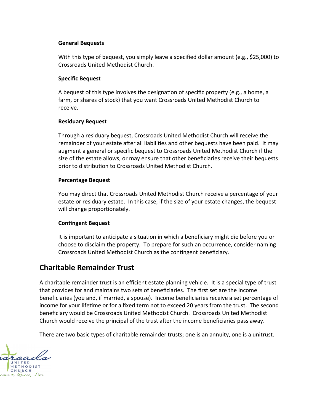#### **General Bequests**

With this type of bequest, you simply leave a specified dollar amount (e.g., \$25,000) to Crossroads United Methodist Church.

#### **Specific Bequest**

A bequest of this type involves the designation of specific property (e.g., a home, a farm, or shares of stock) that you want Crossroads United Methodist Church to receive.

#### **Residuary Bequest**

Through a residuary bequest, Crossroads United Methodist Church will receive the remainder of your estate after all liabilities and other bequests have been paid. It may augment a general or specific bequest to Crossroads United Methodist Church if the size of the estate allows, or may ensure that other beneficiaries receive their bequests prior to distribution to Crossroads United Methodist Church.

#### **Percentage Bequest**

You may direct that Crossroads United Methodist Church receive a percentage of your estate or residuary estate. In this case, if the size of your estate changes, the bequest will change proportionately.

### **Contingent Bequest**

It is important to anticipate a situation in which a beneficiary might die before you or choose to disclaim the property. To prepare for such an occurrence, consider naming Crossroads United Methodist Church as the contingent beneficiary.

## **Charitable Remainder Trust**

A charitable remainder trust is an efficient estate planning vehicle. It is a special type of trust that provides for and maintains two sets of beneficiaries. The first set are the income beneficiaries (you and, if married, a spouse). Income beneficiaries receive a set percentage of income for your lifetime or for a fixed term not to exceed 20 years from the trust. The second beneficiary would be Crossroads United Methodist Church. Crossroads United Methodist Church would receive the principal of the trust after the income beneficiaries pass away.

There are two basic types of charitable remainder trusts; one is an annuity, one is a unitrust.

INITED METHODIST CHURCH 'onnect, Grow, Live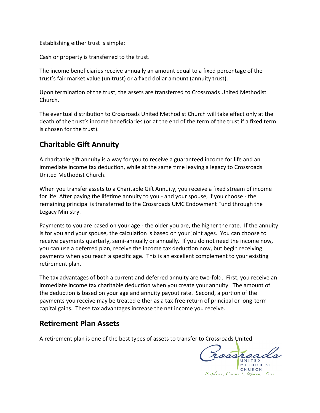Establishing either trust is simple:

Cash or property is transferred to the trust.

The income beneficiaries receive annually an amount equal to a fixed percentage of the trust's fair market value (unitrust) or a fixed dollar amount (annuity trust).

Upon termination of the trust, the assets are transferred to Crossroads United Methodist Church.

The eventual distribution to Crossroads United Methodist Church will take effect only at the death of the trust's income beneficiaries (or at the end of the term of the trust if a fixed term is chosen for the trust).

# **Charitable Gift Annuity**

A charitable gift annuity is a way for you to receive a guaranteed income for life and an immediate income tax deduction, while at the same time leaving a legacy to Crossroads United Methodist Church.

When you transfer assets to a Charitable Gift Annuity, you receive a fixed stream of income for life. After paying the lifetime annuity to you - and your spouse, if you choose - the remaining principal is transferred to the Crossroads UMC Endowment Fund through the Legacy Ministry.

Payments to you are based on your age - the older you are, the higher the rate. If the annuity is for you and your spouse, the calculation is based on your joint ages. You can choose to receive payments quarterly, semi-annually or annually. If you do not need the income now, you can use a deferred plan, receive the income tax deduction now, but begin receiving payments when you reach a specific age. This is an excellent complement to your existing retirement plan.

The tax advantages of both a current and deferred annuity are two-fold. First, you receive an immediate income tax charitable deduction when you create your annuity. The amount of the deduction is based on your age and annuity payout rate. Second, a portion of the payments you receive may be treated either as a tax-free return of principal or long-term capital gains. These tax advantages increase the net income you receive.

## **Retirement Plan Assets**

A retirement plan is one of the best types of assets to transfer to Crossroads United

*Fossion* UNITED METHODIST CHURCH

Explore, Connect, Grow, Live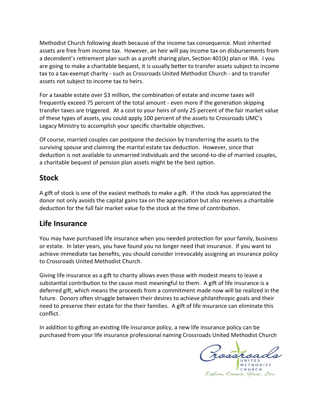Methodist Church following death because of the income tax consequence. Most inherited assets are free from income tax. However, an heir will pay income tax on disbursements from a decendent's retirement plan such as a profit sharing plan, Section 401(k) plan or IRA. I you are going to make a charitable bequest, it is usually better to transfer assets subject to income tax to a tax-exempt charity - such as Crossroads United Methodist Church - and to transfer assets not subject to income tax to heirs.

For a taxable estate over \$3 million, the combination of estate and income taxes will frequently exceed 75 percent of the total amount - even more if the generation skipping transfer taxes are triggered. At a cost to your heirs of only 25 percent of the fair market value of these types of assets, you could apply 100 percent of the assets to Crossroads UMC's Legacy Ministry to accomplish your specific charitable objectives.

Of course, married couples can postpone the decision by transferring the assets to the surviving spouse and claiming the marital estate tax deduction. However, since that deduction is not available to unmarried individuals and the second-to-die of married couples, a charitable bequest of pension plan assets might be the best option.

## **Stock**

A gift of stock is one of the easiest methods to make a gift. If the stock has appreciated the donor not only avoids the capital gains tax on the appreciation but also receives a charitable deduction for the full fair market value fo the stock at the time of contribution.

## **Life Insurance**

You may have purchased life insurance when you needed protection for your family, business or estate. In later years, you have found you no longer need that insurance. If you want to achieve immediate tax benefits, you should consider irrevocably assigning an insurance policy to Crossroads United Methodist Church.

Giving life insurance as a gift to charity allows even those with modest means to leave a substantial contribution to the cause most meaningful to them. A gift of life insurance is a deferred gift, which means the proceeds from a commitment made now will be realized in the future. Donors often struggle between their desires to achieve philanthropic goals and their need to preserve their estate for the their families. A gift of life insurance can eliminate this conflict.

In addition to gifting an existing life insurance policy, a new life insurance policy can be purchased from your life insurance professional naming Crossroads United Methodist Church

*Fossing* UNITED<br>METHOD METHODIST CHURCH

plore, Connect, Grow, Live